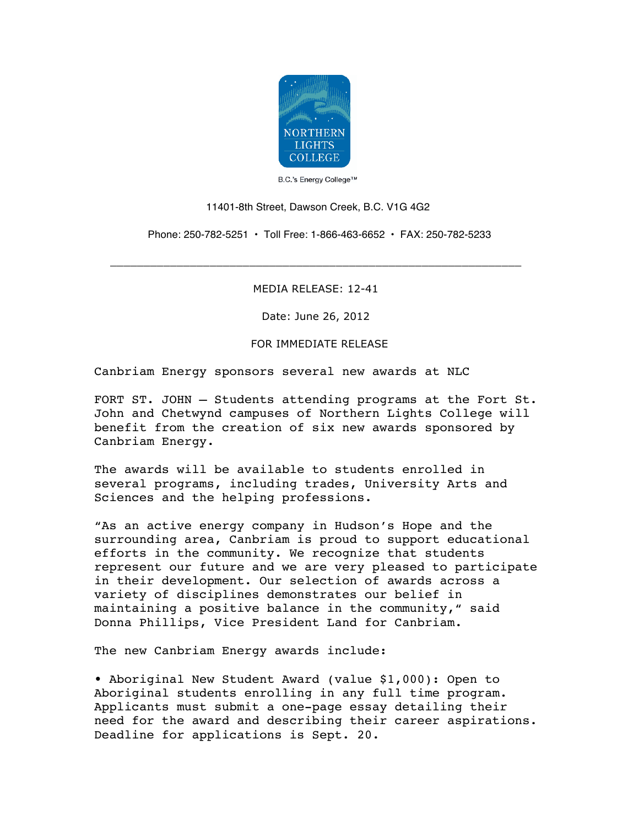

B.C.'s Energy College™

## 11401-8th Street, Dawson Creek, B.C. V1G 4G2

Phone: 250-782-5251 • Toll Free: 1-866-463-6652 • FAX: 250-782-5233

MEDIA RELEASE: 12-41

\_\_\_\_\_\_\_\_\_\_\_\_\_\_\_\_\_\_\_\_\_\_\_\_\_\_\_\_\_\_\_\_\_\_\_\_\_\_\_\_\_\_\_\_\_\_\_\_\_\_\_\_\_\_\_\_\_\_\_\_\_\_

Date: June 26, 2012

FOR IMMEDIATE RELEASE

Canbriam Energy sponsors several new awards at NLC

FORT ST. JOHN – Students attending programs at the Fort St. John and Chetwynd campuses of Northern Lights College will benefit from the creation of six new awards sponsored by Canbriam Energy.

The awards will be available to students enrolled in several programs, including trades, University Arts and Sciences and the helping professions.

"As an active energy company in Hudson's Hope and the surrounding area, Canbriam is proud to support educational efforts in the community. We recognize that students represent our future and we are very pleased to participate in their development. Our selection of awards across a variety of disciplines demonstrates our belief in maintaining a positive balance in the community," said Donna Phillips, Vice President Land for Canbriam.

The new Canbriam Energy awards include:

• Aboriginal New Student Award (value \$1,000): Open to Aboriginal students enrolling in any full time program. Applicants must submit a one-page essay detailing their need for the award and describing their career aspirations. Deadline for applications is Sept. 20.